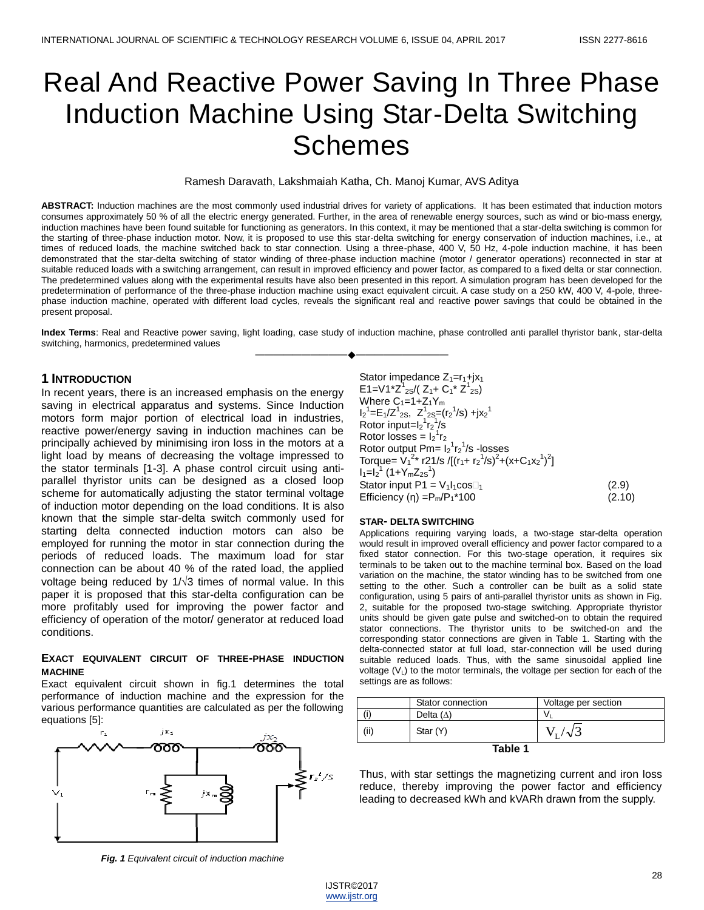# Real And Reactive Power Saving In Three Phase Induction Machine Using Star-Delta Switching Schemes

Ramesh Daravath, Lakshmaiah Katha, Ch. Manoj Kumar, AVS Aditya

**ABSTRACT:** Induction machines are the most commonly used industrial drives for variety of applications. It has been estimated that induction motors consumes approximately 50 % of all the electric energy generated. Further, in the area of renewable energy sources, such as wind or bio-mass energy, induction machines have been found suitable for functioning as generators. In this context, it may be mentioned that a star-delta switching is common for the starting of three-phase induction motor. Now, it is proposed to use this star-delta switching for energy conservation of induction machines, i.e., at times of reduced loads, the machine switched back to star connection. Using a three-phase, 400 V, 50 Hz, 4-pole induction machine, it has been demonstrated that the star-delta switching of stator winding of three-phase induction machine (motor / generator operations) reconnected in star at suitable reduced loads with a switching arrangement, can result in improved efficiency and power factor, as compared to a fixed delta or star connection. The predetermined values along with the experimental results have also been presented in this report. A simulation program has been developed for the predetermination of performance of the three-phase induction machine using exact equivalent circuit. A case study on a 250 kW, 400 V, 4-pole, threephase induction machine, operated with different load cycles, reveals the significant real and reactive power savings that could be obtained in the present proposal.

**Index Terms**: Real and Reactive power saving, light loading, case study of induction machine, phase controlled anti parallel thyristor bank, star-delta switching, harmonics, predetermined values ————————————————————

### **1 INTRODUCTION**

In recent years, there is an increased emphasis on the energy saving in electrical apparatus and systems. Since Induction motors form major portion of electrical load in industries, reactive power/energy saving in induction machines can be principally achieved by minimising iron loss in the motors at a light load by means of decreasing the voltage impressed to the stator terminals [1-3]. A phase control circuit using antiparallel thyristor units can be designed as a closed loop scheme for automatically adjusting the stator terminal voltage of induction motor depending on the load conditions. It is also known that the simple star-delta switch commonly used for starting delta connected induction motors can also be employed for running the motor in star connection during the periods of reduced loads. The maximum load for star connection can be about 40 % of the rated load, the applied voltage being reduced by  $1/\sqrt{3}$  times of normal value. In this paper it is proposed that this star-delta configuration can be more profitably used for improving the power factor and efficiency of operation of the motor/ generator at reduced load conditions.

#### **EXACT EQUIVALENT CIRCUIT OF THREE-PHASE INDUCTION MACHINE**

Exact equivalent circuit shown in fig.1 determines the total performance of induction machine and the expression for the various performance quantities are calculated as per the following equations [5]:



*Fig. 1 Equivalent circuit of induction machine*

Stator impedance  $Z_1=r_1+jx_1$ E1=V1\*Z<sup>1</sup><sub>2S</sub>/(Z<sub>1</sub>+ C<sub>1</sub>\* Z<sup>1</sup><sub>2S</sub>) Where  $C_1=1+Z_1Y_m$  $I_2^1 = E_1/Z_{2S}^1$ ,  $Z_{2S}^1 = (r_2^1/s) + jx_2^1$ Rotor input= $I_2^1r_2^1/s$ Rotor losses =  $I_2^1$  $r_2$ Rotor output  $Pm = I_2^1r_2^1/s$  -losses Torque=  $V_1^{2*}$  r21/s /[(r<sub>1</sub>+ r<sub>2</sub><sup>1</sup>/s)<sup>2</sup>+(x+C<sub>1</sub>x<sub>2</sub><sup>1</sup>)<sup>2</sup>]  $I_1=I_2^1$  (1+Y<sub>m</sub>Z<sub>2S</sub><sup>1</sup> ) and  $\overline{\phantom{a}}$ Stator input  $P1 = V_1I_1\cos\theta_1$  (2.9) Efficiency (η) = $P_m/P_1$ \*100 (2.10)

#### **STAR- DELTA SWITCHING**

Applications requiring varying loads, a two-stage star-delta operation would result in improved overall efficiency and power factor compared to a fixed stator connection. For this two-stage operation, it requires six terminals to be taken out to the machine terminal box. Based on the load variation on the machine, the stator winding has to be switched from one setting to the other. Such a controller can be built as a solid state configuration, using 5 pairs of anti-parallel thyristor units as shown in Fig. 2, suitable for the proposed two-stage switching. Appropriate thyristor units should be given gate pulse and switched-on to obtain the required stator connections. The thyristor units to be switched-on and the corresponding stator connections are given in Table 1. Starting with the delta-connected stator at full load, star-connection will be used during suitable reduced loads. Thus, with the same sinusoidal applied line voltage  $(V_L)$  to the motor terminals, the voltage per section for each of the settings are as follows:

|         | Stator connection | Voltage per section |  |  |  |
|---------|-------------------|---------------------|--|--|--|
|         | Delta $(\Delta)$  | v                   |  |  |  |
| (ii)    | Star (Y)          |                     |  |  |  |
| Table 1 |                   |                     |  |  |  |

Thus, with star settings the magnetizing current and iron loss reduce, thereby improving the power factor and efficiency leading to decreased kWh and kVARh drawn from the supply.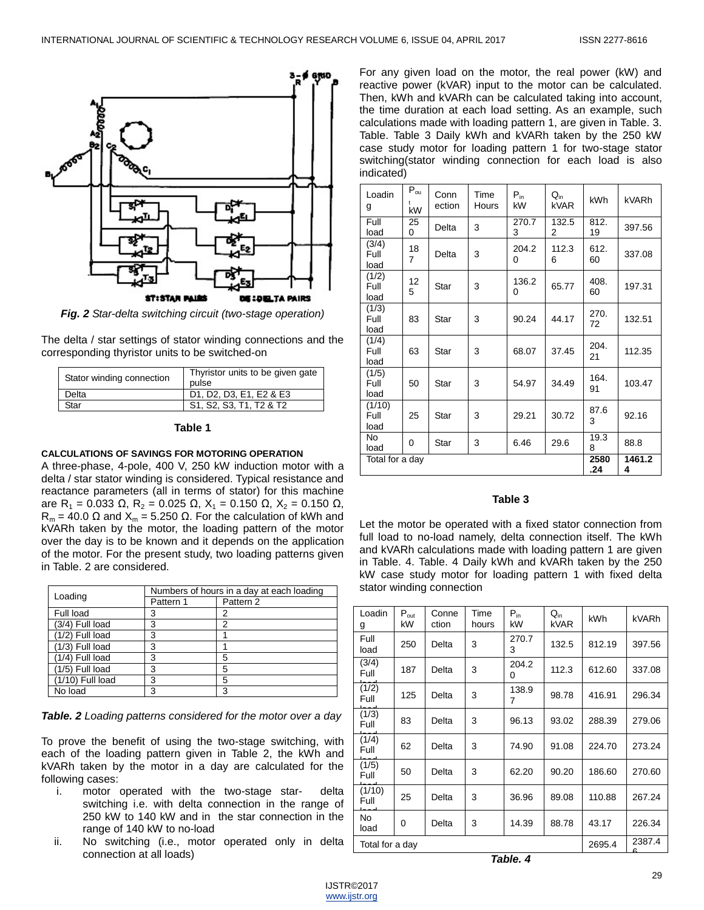

*Fig. 2 Star-delta switching circuit (two-stage operation)*

The delta / star settings of stator winding connections and the corresponding thyristor units to be switched-on

| Stator winding connection | Thyristor units to be given gate<br>pulse |
|---------------------------|-------------------------------------------|
| Delta                     | D1, D2, D3, E1, E2 & E3                   |
| Star                      | S1, S2, S3, T1, T2 & T2                   |

#### **Table 1**

### **CALCULATIONS OF SAVINGS FOR MOTORING OPERATION**

A three-phase, 4-pole, 400 V, 250 kW induction motor with a delta / star stator winding is considered. Typical resistance and reactance parameters (all in terms of stator) for this machine are R<sub>1</sub> = 0.033 Ω, R<sub>2</sub> = 0.025 Ω, X<sub>1</sub> = 0.150 Ω, X<sub>2</sub> = 0.150 Ω,  $R_m = 40.0 \Omega$  and  $X_m = 5.250 \Omega$ . For the calculation of kWh and kVARh taken by the motor, the loading pattern of the motor over the day is to be known and it depends on the application of the motor. For the present study, two loading patterns given in Table. 2 are considered.

| Loading            | Numbers of hours in a day at each loading |           |  |  |
|--------------------|-------------------------------------------|-----------|--|--|
|                    | Pattern 1                                 | Pattern 2 |  |  |
| Full load          | 3                                         | 2         |  |  |
| $(3/4)$ Full load  | 3                                         | 2         |  |  |
| $(1/2)$ Full load  | 3                                         |           |  |  |
| $(1/3)$ Full load  | 3                                         |           |  |  |
| $(1/4)$ Full load  | 3                                         | 5         |  |  |
| $(1/5)$ Full load  | 3                                         | 5         |  |  |
| $(1/10)$ Full load | 3                                         | 5         |  |  |
| No load            | з                                         | З         |  |  |

*Table. 2 Loading patterns considered for the motor over a day*

To prove the benefit of using the two-stage switching, with each of the loading pattern given in Table 2, the kWh and kVARh taken by the motor in a day are calculated for the following cases:

- i. motor operated with the two-stage starswitching i.e. with delta connection in the range of 250 kW to 140 kW and in the star connection in the range of 140 kW to no-load
- ii. No switching (i.e., motor operated only in delta connection at all loads)

For any given load on the motor, the real power (kW) and reactive power (kVAR) input to the motor can be calculated. Then, kWh and kVARh can be calculated taking into account, the time duration at each load setting. As an example, such calculations made with loading pattern 1, are given in Table. 3. Table. Table 3 Daily kWh and kVARh taken by the 250 kW case study motor for loading pattern 1 for two-stage stator switching(stator winding connection for each load is also indicated)

| Loadin<br>g            | $P_{\text{ou}}$<br>kW | Conn<br>ection | Time<br>Hours | $P_{in}$<br>kW | $Q_{in}$<br>kVAR | <b>kWh</b> | kVARh       |
|------------------------|-----------------------|----------------|---------------|----------------|------------------|------------|-------------|
| Full<br>load           | 25<br>0               | Delta          | 3             | 270.7<br>3     | 132.5<br>2       | 812.<br>19 | 397.56      |
| (3/4)<br>Full<br>load  | 18<br>7               | Delta          | 3             | 204.2<br>0     | 112.3<br>6       | 612.<br>60 | 337.08      |
| (1/2)<br>Full<br>load  | 12<br>5               | Star           | 3             | 136.2<br>0     | 65.77            | 408.<br>60 | 197.31      |
| (1/3)<br>Full<br>load  | 83                    | Star           | 3             | 90.24          | 44.17            | 270.<br>72 | 132.51      |
| (1/4)<br>Full<br>load  | 63                    | Star           | 3             | 68.07          | 37.45            | 204.<br>21 | 112.35      |
| (1/5)<br>Full<br>load  | 50                    | Star           | 3             | 54.97          | 34.49            | 164.<br>91 | 103.47      |
| (1/10)<br>Full<br>load | 25                    | Star           | 3             | 29.21          | 30.72            | 87.6<br>3  | 92.16       |
| No<br>load             | 0                     | <b>Star</b>    | 3             | 6.46           | 29.6             | 19.3<br>8  | 88.8        |
|                        | Total for a day       |                |               |                |                  |            | 1461.2<br>4 |

#### **Table 3**

Let the motor be operated with a fixed stator connection from full load to no-load namely, delta connection itself. The kWh and kVARh calculations made with loading pattern 1 are given in Table. 4. Table. 4 Daily kWh and kVARh taken by the 250 kW case study motor for loading pattern 1 with fixed delta stator winding connection

| Loadin<br>g     | $P_{\text{out}}$<br>kW | Conne<br>ction | Time<br>hours | $P_{in}$<br>kW | $Q_{\rm in}$<br>kVAR | kWh    | kVARh  |
|-----------------|------------------------|----------------|---------------|----------------|----------------------|--------|--------|
| Full<br>load    | 250                    | Delta          | 3             | 270.7<br>3     | 132.5                | 812.19 | 397.56 |
| (3/4)<br>Full   | 187                    | Delta          | 3             | 204.2<br>0     | 112.3                | 612.60 | 337.08 |
| (1/2)<br>Full   | 125                    | Delta          | 3             | 138.9<br>7     | 98.78                | 416.91 | 296.34 |
| (1/3)<br>Full   | 83                     | Delta          | 3             | 96.13          | 93.02                | 288.39 | 279.06 |
| (1/4)<br>Full   | 62                     | Delta          | 3             | 74.90          | 91.08                | 224.70 | 273.24 |
| (1/5)<br>Full   | 50                     | Delta          | 3             | 62.20          | 90.20                | 186.60 | 270.60 |
| (1/10)<br>Full  | 25                     | Delta          | 3             | 36.96          | 89.08                | 110.88 | 267.24 |
| No.<br>load     | 0                      | Delta          | 3             | 14.39          | 88.78                | 43.17  | 226.34 |
| Total for a day |                        |                | 2695.4        | 2387.4         |                      |        |        |

*Table. 4*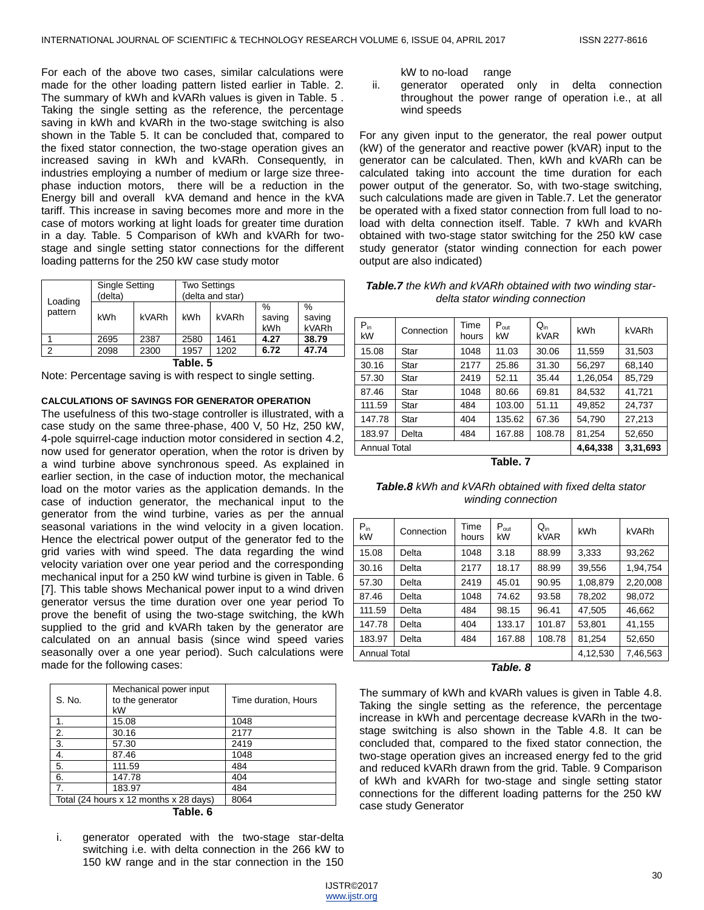For each of the above two cases, similar calculations were made for the other loading pattern listed earlier in Table. 2. The summary of kWh and kVARh values is given in Table. 5 . Taking the single setting as the reference, the percentage saving in kWh and kVARh in the two-stage switching is also shown in the Table 5. It can be concluded that, compared to the fixed stator connection, the two-stage operation gives an increased saving in kWh and kVARh. Consequently, in industries employing a number of medium or large size threephase induction motors, there will be a reduction in the Energy bill and overall kVA demand and hence in the kVA tariff. This increase in saving becomes more and more in the case of motors working at light loads for greater time duration in a day. Table. 5 Comparison of kWh and kVARh for twostage and single setting stator connections for the different loading patterns for the 250 kW case study motor

|                    | <b>Single Setting</b><br>(delta) |       | <b>Two Settings</b><br>(delta and star) |       |                       |                         |
|--------------------|----------------------------------|-------|-----------------------------------------|-------|-----------------------|-------------------------|
| Loading<br>pattern | <b>kWh</b>                       | kVARh | <b>kWh</b>                              | kVARh | $\%$<br>saving<br>kWh | $\%$<br>saving<br>kVARh |
|                    | 2695                             | 2387  | 2580                                    | 1461  | 4.27                  | 38.79                   |
| າ                  | 2098                             | 2300  | 1957                                    | 1202  | 6.72                  | 47.74                   |
|                    |                                  |       | -                                       |       |                       |                         |

**Table. 5**

Note: Percentage saving is with respect to single setting.

#### **CALCULATIONS OF SAVINGS FOR GENERATOR OPERATION**

The usefulness of this two-stage controller is illustrated, with a case study on the same three-phase, 400 V, 50 Hz, 250 kW, 4-pole squirrel-cage induction motor considered in section 4.2, now used for generator operation, when the rotor is driven by a wind turbine above synchronous speed. As explained in earlier section, in the case of induction motor, the mechanical load on the motor varies as the application demands. In the case of induction generator, the mechanical input to the generator from the wind turbine, varies as per the annual seasonal variations in the wind velocity in a given location. Hence the electrical power output of the generator fed to the grid varies with wind speed. The data regarding the wind velocity variation over one year period and the corresponding mechanical input for a 250 kW wind turbine is given in Table. 6 [7]. This table shows Mechanical power input to a wind driven generator versus the time duration over one year period To prove the benefit of using the two-stage switching, the kWh supplied to the grid and kVARh taken by the generator are calculated on an annual basis (since wind speed varies seasonally over a one year period). Such calculations were made for the following cases:

| S. No.         | Mechanical power input<br>to the generator<br>kW | Time duration, Hours |
|----------------|--------------------------------------------------|----------------------|
| 1.             | 15.08                                            | 1048                 |
| 2.             | 30.16                                            | 2177                 |
| 3.             | 57.30                                            | 2419                 |
| 4.             | 87.46                                            | 1048                 |
| 5.             | 111.59                                           | 484                  |
| 6.             | 147.78                                           | 404                  |
| $\overline{7}$ | 183.97                                           | 484                  |
|                | Total (24 hours x 12 months x 28 days)           | 8064                 |

**Table. 6**

i. generator operated with the two-stage star-delta switching i.e. with delta connection in the 266 kW to 150 kW range and in the star connection in the 150 kW to no-load range

ii. generator operated only in delta connection throughout the power range of operation i.e., at all wind speeds

For any given input to the generator, the real power output (kW) of the generator and reactive power (kVAR) input to the generator can be calculated. Then, kWh and kVARh can be calculated taking into account the time duration for each power output of the generator. So, with two-stage switching, such calculations made are given in Table.7. Let the generator be operated with a fixed stator connection from full load to noload with delta connection itself. Table. 7 kWh and kVARh obtained with two-stage stator switching for the 250 kW case study generator (stator winding connection for each power output are also indicated)

*Table.7 the kWh and kVARh obtained with two winding stardelta stator winding connection*

| $P_{in}$<br>kW | Connection          | Time<br>hours | $P_{out}$<br>kW | $Q_{in}$<br><b>kVAR</b> | kWh      | kVARh    |
|----------------|---------------------|---------------|-----------------|-------------------------|----------|----------|
| 15.08          | Star                | 1048          | 11.03           | 30.06                   | 11,559   | 31,503   |
| 30.16          | Star                | 2177          | 25.86           | 31.30                   | 56.297   | 68,140   |
| 57.30          | Star                | 2419          | 52.11           | 35.44                   | 1,26,054 | 85,729   |
| 87.46          | Star                | 1048          | 80.66           | 69.81                   | 84,532   | 41,721   |
| 111.59         | Star                | 484           | 103.00          | 51.11                   | 49,852   | 24,737   |
| 147.78         | Star                | 404           | 135.62          | 67.36                   | 54,790   | 27,213   |
| 183.97         | Delta               | 484           | 167.88          | 108.78                  | 81,254   | 52,650   |
|                | <b>Annual Total</b> |               |                 |                         |          | 3,31,693 |

**Table. 7**

*Table.8 kWh and kVARh obtained with fixed delta stator winding connection*

| $P_{in}$<br>kW      | Connection | Time<br>hours | $P_{\text{out}}$<br>kW | $Q_{in}$<br>kVAR | kWh      | kVARh    |
|---------------------|------------|---------------|------------------------|------------------|----------|----------|
| 15.08               | Delta      | 1048          | 3.18                   | 88.99            | 3,333    | 93,262   |
| 30.16               | Delta      | 2177          | 18.17                  | 88.99            | 39.556   | 1,94,754 |
| 57.30               | Delta      | 2419          | 45.01                  | 90.95            | 1,08,879 | 2,20,008 |
| 87.46               | Delta      | 1048          | 74.62                  | 93.58            | 78,202   | 98,072   |
| 111.59              | Delta      | 484           | 98.15                  | 96.41            | 47.505   | 46,662   |
| 147.78              | Delta      | 404           | 133.17                 | 101.87           | 53.801   | 41,155   |
| 183.97              | Delta      | 484           | 167.88                 | 108.78           | 81,254   | 52,650   |
| <b>Annual Total</b> |            |               |                        |                  | 4,12,530 | 7,46,563 |

*Table. 8*

The summary of kWh and kVARh values is given in Table 4.8. Taking the single setting as the reference, the percentage increase in kWh and percentage decrease kVARh in the twostage switching is also shown in the Table 4.8. It can be concluded that, compared to the fixed stator connection, the two-stage operation gives an increased energy fed to the grid and reduced kVARh drawn from the grid. Table. 9 Comparison of kWh and kVARh for two-stage and single setting stator connections for the different loading patterns for the 250 kW case study Generator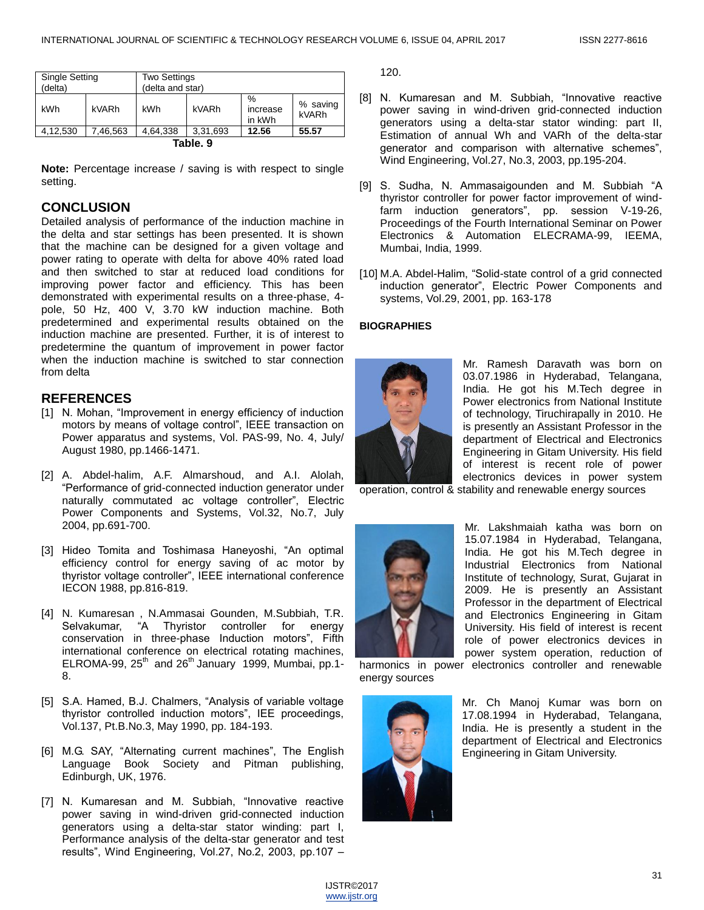| <b>Single Setting</b><br>(delta) |         | <b>Two Settings</b><br>(delta and star) |          |                         |                   |
|----------------------------------|---------|-----------------------------------------|----------|-------------------------|-------------------|
| kWh                              | kVARh   | kWh                                     | kVARh    | %<br>increase<br>in kWh | % saving<br>kVARh |
| 4,12,530                         | .46,563 | 4.64.338                                | 3.31.693 | 12.56                   | 55.57             |

**Table. 9**

**Note:** Percentage increase / saving is with respect to single setting.

## **CONCLUSION**

Detailed analysis of performance of the induction machine in the delta and star settings has been presented. It is shown that the machine can be designed for a given voltage and power rating to operate with delta for above 40% rated load and then switched to star at reduced load conditions for improving power factor and efficiency. This has been demonstrated with experimental results on a three-phase, 4 pole, 50 Hz, 400 V, 3.70 kW induction machine. Both predetermined and experimental results obtained on the induction machine are presented. Further, it is of interest to predetermine the quantum of improvement in power factor when the induction machine is switched to star connection from delta

## **REFERENCES**

- [1] N. Mohan, "Improvement in energy efficiency of induction motors by means of voltage control", IEEE transaction on Power apparatus and systems, Vol. PAS-99, No. 4, July/ August 1980, pp.1466-1471.
- [2] A. Abdel-halim, A.F. Almarshoud, and A.I. Alolah, ―Performance of grid-connected induction generator under naturally commutated ac voltage controller", Electric Power Components and Systems, Vol.32, No.7, July 2004, pp.691-700.
- [3] Hideo Tomita and Toshimasa Haneyoshi, "An optimal efficiency control for energy saving of ac motor by thyristor voltage controller", IEEE international conference IECON 1988, pp.816-819.
- [4] N. Kumaresan , N.Ammasai Gounden, M.Subbiah, T.R. Selvakumar, "A Thyristor controller for energy conservation in three-phase Induction motors", Fifth international conference on electrical rotating machines, ELROMA-99,  $25<sup>th</sup>$  and  $26<sup>th</sup>$  January 1999, Mumbai, pp.1-8.
- [5] S.A. Hamed, B.J. Chalmers, "Analysis of variable voltage thyristor controlled induction motors", IEE proceedings, Vol.137, Pt.B.No.3, May 1990, pp. 184-193.
- [6] M.G. SAY, "Alternating current machines", The English Language Book Society and Pitman publishing, Edinburgh, UK, 1976.
- [7] N. Kumaresan and M. Subbiah, "Innovative reactive power saving in wind-driven grid-connected induction generators using a delta-star stator winding: part I, Performance analysis of the delta-star generator and test results", Wind Engineering, Vol.27, No.2, 2003, pp.107  $-$

120.

- [8] N. Kumaresan and M. Subbiah, "Innovative reactive power saving in wind-driven grid-connected induction generators using a delta-star stator winding: part II, Estimation of annual Wh and VARh of the delta-star generator and comparison with alternative schemes", Wind Engineering, Vol.27, No.3, 2003, pp.195-204.
- [9] S. Sudha, N. Ammasaigounden and M. Subbiah "A thyristor controller for power factor improvement of windfarm induction generators", pp. session V-19-26, Proceedings of the Fourth International Seminar on Power Electronics & Automation ELECRAMA-99, IEEMA, Mumbai, India, 1999.
- [10] M.A. Abdel-Halim, "Solid-state control of a grid connected induction generator", Electric Power Components and systems, Vol.29, 2001, pp. 163-178

## **BIOGRAPHIES**



Mr. Ramesh Daravath was born on 03.07.1986 in Hyderabad, Telangana, India. He got his M.Tech degree in Power electronics from National Institute of technology, Tiruchirapally in 2010. He is presently an Assistant Professor in the department of Electrical and Electronics Engineering in Gitam University. His field of interest is recent role of power electronics devices in power system

operation, control & stability and renewable energy sources



Mr. Lakshmaiah katha was born on 15.07.1984 in Hyderabad, Telangana, India. He got his M.Tech degree in Industrial Electronics from National Institute of technology, Surat, Gujarat in 2009. He is presently an Assistant Professor in the department of Electrical and Electronics Engineering in Gitam University. His field of interest is recent role of power electronics devices in power system operation, reduction of

harmonics in power electronics controller and renewable energy sources



Mr. Ch Manoj Kumar was born on 17.08.1994 in Hyderabad, Telangana, India. He is presently a student in the department of Electrical and Electronics Engineering in Gitam University.